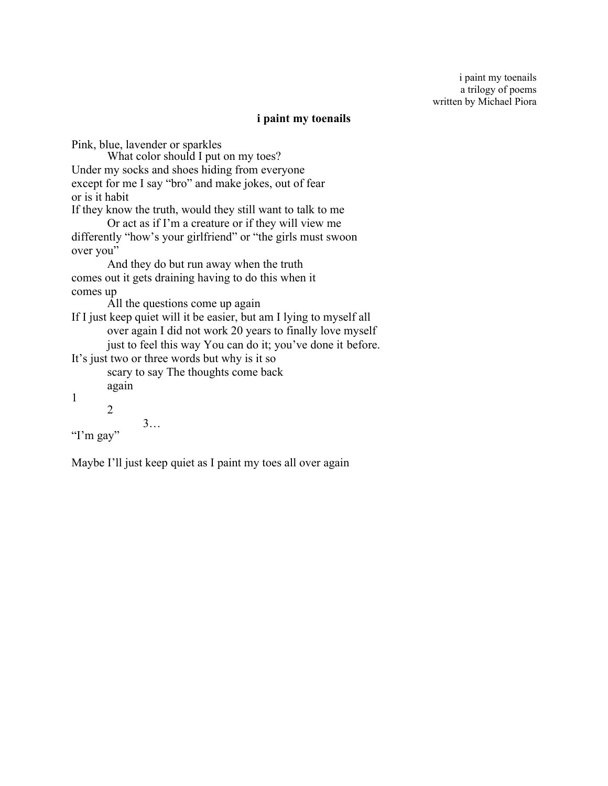## **i paint my toenails**

Pink, blue, lavender or sparkles What color should I put on my toes? Under my socks and shoes hiding from everyone except for me I say "bro" and make jokes, out of fear or is it habit If they know the truth, would they still want to talk to me Or act as if I'm a creature or if they will view me differently "how's your girlfriend" or "the girls must swoon over you" And they do but run away when the truth comes out it gets draining having to do this when it comes up All the questions come up again If I just keep quiet will it be easier, but am I lying to myself all over again I did not work 20 years to finally love myself just to feel this way You can do it; you've done it before. It's just two or three words but why is it so scary to say The thoughts come back again 1 2 3… "I'm gay"

Maybe I'll just keep quiet as I paint my toes all over again